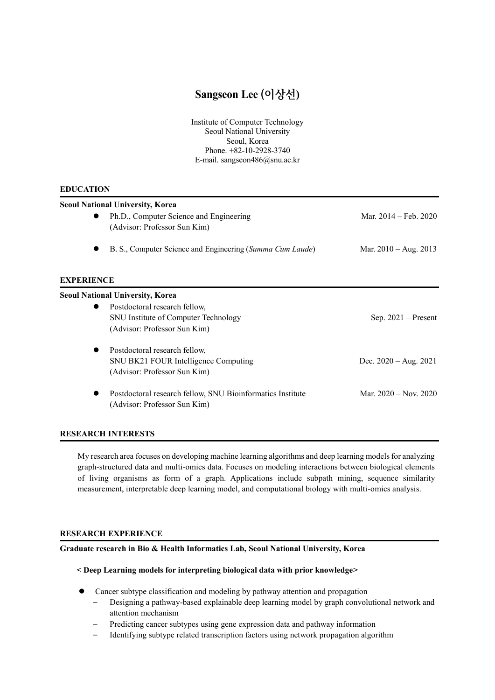# **Sangseon Lee (이상선)**

Institute of Computer Technology Seoul National University Seoul, Korea Phone. +82-10-2928-3740 E-mail. sangseon486@snu.ac.kr

## **EDUCATION**

| <b>Seoul National University, Korea</b> |                                                            |                                 |
|-----------------------------------------|------------------------------------------------------------|---------------------------------|
|                                         | Ph.D., Computer Science and Engineering                    | Mar. $2014 - \text{Feb. } 2020$ |
|                                         | (Advisor: Professor Sun Kim)                               |                                 |
|                                         | B. S., Computer Science and Engineering (Summa Cum Laude)  | Mar. $2010 - Aug. 2013$         |
| <b>EXPERIENCE</b>                       |                                                            |                                 |
|                                         | <b>Seoul National University, Korea</b>                    |                                 |
|                                         | Postdoctoral research fellow,                              |                                 |
|                                         | <b>SNU</b> Institute of Computer Technology                | $Sep. 2021 - Present$           |
|                                         | (Advisor: Professor Sun Kim)                               |                                 |
|                                         | Postdoctoral research fellow,                              |                                 |
|                                         | SNU BK21 FOUR Intelligence Computing                       | Dec. $2020 - Aug. 2021$         |
|                                         | (Advisor: Professor Sun Kim)                               |                                 |
|                                         | Postdoctoral research fellow, SNU Bioinformatics Institute | Mar. $2020 - Nov. 2020$         |
|                                         | (Advisor: Professor Sun Kim)                               |                                 |
|                                         |                                                            |                                 |

# **RESEARCH INTERESTS**

My research area focuses on developing machine learning algorithms and deep learning models for analyzing graph-structured data and multi-omics data. Focuses on modeling interactions between biological elements of living organisms as form of a graph. Applications include subpath mining, sequence similarity measurement, interpretable deep learning model, and computational biology with multi-omics analysis.

## **RESEARCH EXPERIENCE**

# **Graduate research in Bio & Health Informatics Lab, Seoul National University, Korea**

## **< Deep Learning models for interpreting biological data with prior knowledge>**

- ⚫ Cancer subtype classification and modeling by pathway attention and propagation
	- Designing a pathway-based explainable deep learning model by graph convolutional network and attention mechanism
	- Predicting cancer subtypes using gene expression data and pathway information
	- Identifying subtype related transcription factors using network propagation algorithm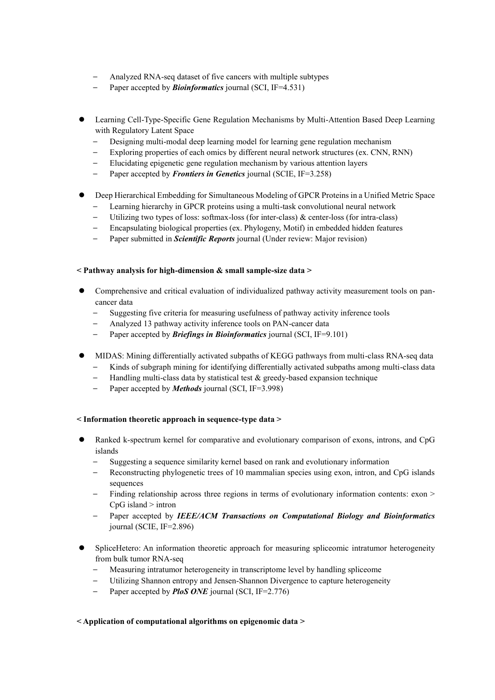- Analyzed RNA-seq dataset of five cancers with multiple subtypes
- Paper accepted by *Bioinformatics* journal (SCI, IF=4.531)
- ⚫ Learning Cell-Type-Specific Gene Regulation Mechanisms by Multi-Attention Based Deep Learning with Regulatory Latent Space
	- Designing multi-modal deep learning model for learning gene regulation mechanism
	- Exploring properties of each omics by different neural network structures (ex. CNN, RNN)
	- Elucidating epigenetic gene regulation mechanism by various attention layers
	- Paper accepted by *Frontiers in Genetics* journal (SCIE, IF=3.258)

# ⚫ Deep Hierarchical Embedding for Simultaneous Modeling of GPCR Proteins in a Unified Metric Space

- Learning hierarchy in GPCR proteins using a multi-task convolutional neural network
- Utilizing two types of loss: softmax-loss (for inter-class) & center-loss (for intra-class)
- Encapsulating biological properties (ex. Phylogeny, Motif) in embedded hidden features
- Paper submitted in *Scientific Reports* journal (Under review: Major revision)

# **< Pathway analysis for high-dimension & small sample-size data >**

- ⚫ Comprehensive and critical evaluation of individualized pathway activity measurement tools on pancancer data
	- Suggesting five criteria for measuring usefulness of pathway activity inference tools
	- Analyzed 13 pathway activity inference tools on PAN-cancer data
	- Paper accepted by *Briefings in Bioinformatics* journal (SCI, IF=9.101)
- ⚫ MIDAS: Mining differentially activated subpaths of KEGG pathways from multi-class RNA-seq data
	- Kinds of subgraph mining for identifying differentially activated subpaths among multi-class data
	- Handling multi-class data by statistical test  $&$  greedy-based expansion technique
	- Paper accepted by *Methods* journal (SCI, IF=3.998)

## **< Information theoretic approach in sequence-type data >**

- ⚫ Ranked k-spectrum kernel for comparative and evolutionary comparison of exons, introns, and CpG islands
	- Suggesting a sequence similarity kernel based on rank and evolutionary information
	- Reconstructing phylogenetic trees of 10 mammalian species using exon, intron, and CpG islands sequences
	- Finding relationship across three regions in terms of evolutionary information contents: exon > CpG island > intron
	- Paper accepted by *IEEE/ACM Transactions on Computational Biology and Bioinformatics* journal (SCIE, IF=2.896)
- ⚫ SpliceHetero: An information theoretic approach for measuring spliceomic intratumor heterogeneity from bulk tumor RNA-seq
	- Measuring intratumor heterogeneity in transcriptome level by handling spliceome
	- Utilizing Shannon entropy and Jensen-Shannon Divergence to capture heterogeneity
	- Paper accepted by **PloS ONE** journal (SCI, IF=2.776)

## **< Application of computational algorithms on epigenomic data >**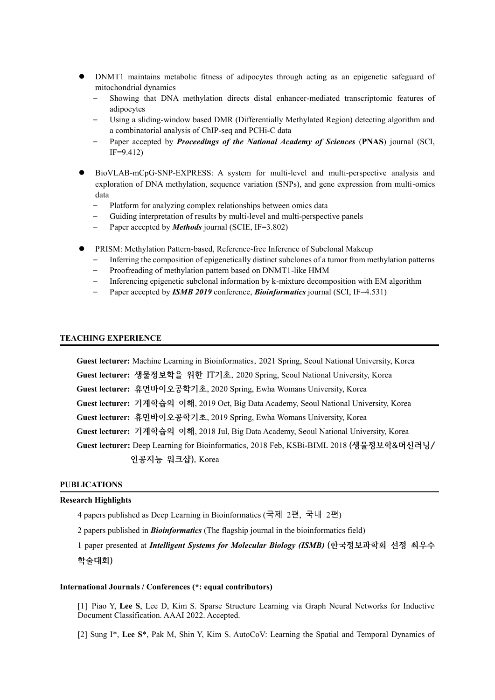- ⚫ DNMT1 maintains metabolic fitness of adipocytes through acting as an epigenetic safeguard of mitochondrial dynamics
	- Showing that DNA methylation directs distal enhancer-mediated transcriptomic features of adipocytes
	- Using a sliding-window based DMR (Differentially Methylated Region) detecting algorithm and a combinatorial analysis of ChIP-seq and PCHi-C data
	- Paper accepted by *Proceedings of the National Academy of Sciences* (**PNAS**) journal (SCI, IF=9.412)
- ⚫ BioVLAB-mCpG-SNP-EXPRESS: A system for multi-level and multi-perspective analysis and exploration of DNA methylation, sequence variation (SNPs), and gene expression from multi-omics data
	- Platform for analyzing complex relationships between omics data
	- Guiding interpretation of results by multi-level and multi-perspective panels
	- Paper accepted by *Methods* journal (SCIE, IF=3.802)
- ⚫ PRISM: Methylation Pattern-based, Reference-free Inference of Subclonal Makeup
	- Inferring the composition of epigenetically distinct subclones of a tumor from methylation patterns
	- Proofreading of methylation pattern based on DNMT1-like HMM
	- Inferencing epigenetic subclonal information by k-mixture decomposition with EM algorithm
	- Paper accepted by *ISMB 2019* conference, *Bioinformatics* journal (SCI, IF=4.531)

#### **TEACHING EXPERIENCE**

**Guest lecturer:** Machine Learning in Bioinformatics**,** 2021 Spring, Seoul National University, Korea **Guest lecturer: 생물정보학을 위한 IT기초,** 2020 Spring, Seoul National University, Korea **Guest lecturer: 휴먼바이오공학기초**, 2020 Spring, Ewha Womans University, Korea **Guest lecturer: 기계학습의 이해**, 2019 Oct, Big Data Academy, Seoul National University, Korea **Guest lecturer: 휴먼바이오공학기초**, 2019 Spring, Ewha Womans University, Korea **Guest lecturer: 기계학습의 이해**, 2018 Jul, Big Data Academy, Seoul National University, Korea **Guest lecturer:** Deep Learning for Bioinformatics, 2018 Feb, KSBi-BIML 2018 **(생물정보학&머신러닝/ 인공지능 워크샵),** Korea

#### **PUBLICATIONS**

#### **Research Highlights**

4 papers published as Deep Learning in Bioinformatics (국제 2편, 국내 2편)

2 papers published in *Bioinformatics* (The flagship journal in the bioinformatics field)

1 paper presented at *Intelligent Systems for Molecular Biology (ISMB)* **(한국정보과학회 선정 최우수 학술대회)**

#### **International Journals / Conferences (\*: equal contributors)**

[1] Piao Y, **Lee S**, Lee D, Kim S. Sparse Structure Learning via Graph Neural Networks for Inductive Document Classification. AAAI 2022. Accepted.

[2] Sung I\*, **Lee S**\*, Pak M, Shin Y, Kim S. AutoCoV: Learning the Spatial and Temporal Dynamics of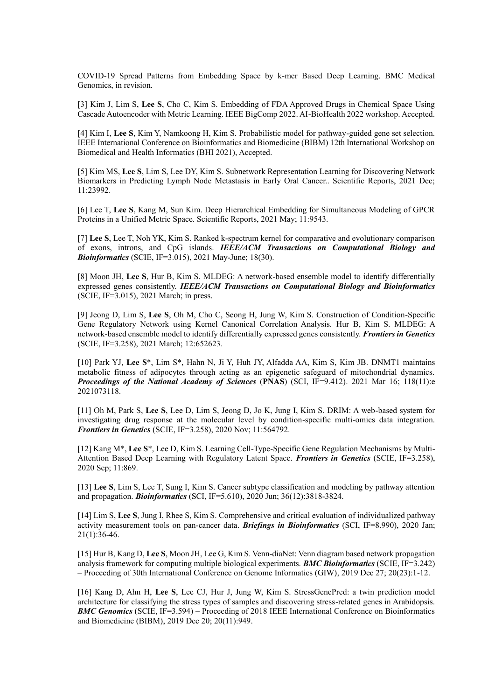COVID-19 Spread Patterns from Embedding Space by k-mer Based Deep Learning. BMC Medical Genomics, in revision.

[3] Kim J, Lim S, **Lee S**, Cho C, Kim S. Embedding of FDA Approved Drugs in Chemical Space Using Cascade Autoencoder with Metric Learning. IEEE BigComp 2022. AI-BioHealth 2022 workshop. Accepted.

[4] Kim I, **Lee S**, Kim Y, Namkoong H, Kim S. Probabilistic model for pathway-guided gene set selection. IEEE International Conference on Bioinformatics and Biomedicine (BIBM) 12th International Workshop on Biomedical and Health Informatics (BHI 2021), Accepted.

[5] Kim MS, **Lee S**, Lim S, Lee DY, Kim S. Subnetwork Representation Learning for Discovering Network Biomarkers in Predicting Lymph Node Metastasis in Early Oral Cancer.. Scientific Reports, 2021 Dec; 11:23992.

[6] Lee T, **Lee S**, Kang M, Sun Kim. Deep Hierarchical Embedding for Simultaneous Modeling of GPCR Proteins in a Unified Metric Space. Scientific Reports, 2021 May; 11:9543.

[7] **Lee S**, Lee T, Noh YK, Kim S. Ranked k-spectrum kernel for comparative and evolutionary comparison of exons, introns, and CpG islands. *IEEE/ACM Transactions on Computational Biology and Bioinformatics* (SCIE, IF=3.015), 2021 May-June; 18(30).

[8] Moon JH, **Lee S**, Hur B, Kim S. MLDEG: A network-based ensemble model to identify differentially expressed genes consistently. *IEEE/ACM Transactions on Computational Biology and Bioinformatics* (SCIE, IF=3.015), 2021 March; in press.

[9] Jeong D, Lim S, **Lee S**, Oh M, Cho C, Seong H, Jung W, Kim S. Construction of Condition-Specific Gene Regulatory Network using Kernel Canonical Correlation Analysis. Hur B, Kim S. MLDEG: A network-based ensemble model to identify differentially expressed genes consistently. *Frontiers in Genetics* (SCIE, IF=3.258), 2021 March; 12:652623.

[10] Park YJ, **Lee S**\*, Lim S\*, Hahn N, Ji Y, Huh JY, Alfadda AA, Kim S, Kim JB. DNMT1 maintains metabolic fitness of adipocytes through acting as an epigenetic safeguard of mitochondrial dynamics. *Proceedings of the National Academy of Sciences* (**PNAS**) (SCI, IF=9.412). 2021 Mar 16; 118(11):e 2021073118.

[11] Oh M, Park S, **Lee S**, Lee D, Lim S, Jeong D, Jo K, Jung I, Kim S. DRIM: A web-based system for investigating drug response at the molecular level by condition-specific multi-omics data integration. *Frontiers in Genetics* (SCIE, IF=3.258), 2020 Nov; 11:564792.

[12] Kang M\*, **Lee S**\*, Lee D, Kim S. Learning Cell-Type-Specific Gene Regulation Mechanisms by Multi-Attention Based Deep Learning with Regulatory Latent Space. *Frontiers in Genetics* (SCIE, IF=3.258), 2020 Sep; 11:869.

[13] **Lee S**, Lim S, Lee T, Sung I, Kim S. Cancer subtype classification and modeling by pathway attention and propagation. *Bioinformatics* (SCI, IF=5.610), 2020 Jun; 36(12):3818-3824.

[14] Lim S, **Lee S**, Jung I, Rhee S, Kim S. Comprehensive and critical evaluation of individualized pathway activity measurement tools on pan-cancer data. *Briefings in Bioinformatics* (SCI, IF=8.990), 2020 Jan; 21(1):36-46.

[15] Hur B, Kang D, **Lee S**, Moon JH, Lee G, Kim S. Venn-diaNet: Venn diagram based network propagation analysis framework for computing multiple biological experiments. *BMC Bioinformatics* (SCIE, IF=3.242) – Proceeding of 30th International Conference on Genome Informatics (GIW), 2019 Dec 27; 20(23):1-12.

[16] Kang D, Ahn H, **Lee S**, Lee CJ, Hur J, Jung W, Kim S. StressGenePred: a twin prediction model architecture for classifying the stress types of samples and discovering stress-related genes in Arabidopsis. *BMC Genomics* (SCIE, IF=3.594) – Proceeding of 2018 IEEE International Conference on Bioinformatics and Biomedicine (BIBM), 2019 Dec 20; 20(11):949.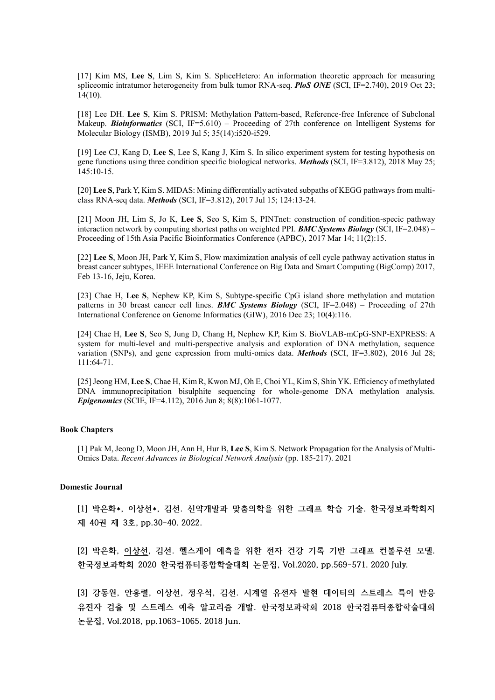[17] Kim MS, **Lee S**, Lim S, Kim S. SpliceHetero: An information theoretic approach for measuring spliceomic intratumor heterogeneity from bulk tumor RNA-seq. *PloS ONE* (SCI, IF=2.740), 2019 Oct 23; 14(10).

[18] Lee DH. **Lee S**, Kim S. PRISM: Methylation Pattern-based, Reference-free Inference of Subclonal Makeup. **Bioinformatics** (SCI, IF=5.610) – Proceeding of 27th conference on Intelligent Systems for Molecular Biology (ISMB), 2019 Jul 5; 35(14):i520-i529.

[19] Lee CJ, Kang D, **Lee S**, Lee S, Kang J, Kim S. In silico experiment system for testing hypothesis on gene functions using three condition specific biological networks. *Methods* (SCI, IF=3.812), 2018 May 25; 145:10-15.

[20] **Lee S**, Park Y, Kim S. MIDAS: Mining differentially activated subpaths of KEGG pathways from multiclass RNA-seq data. *Methods* (SCI, IF=3.812), 2017 Jul 15; 124:13-24.

[21] Moon JH, Lim S, Jo K, **Lee S**, Seo S, Kim S, PINTnet: construction of condition-specic pathway interaction network by computing shortest paths on weighted PPI. *BMC Systems Biology* (SCI, IF=2.048) – Proceeding of 15th Asia Pacific Bioinformatics Conference (APBC), 2017 Mar 14; 11(2):15.

[22] **Lee S**, Moon JH, Park Y, Kim S, Flow maximization analysis of cell cycle pathway activation status in breast cancer subtypes, IEEE International Conference on Big Data and Smart Computing (BigComp) 2017, Feb 13-16, Jeju, Korea.

[23] Chae H, **Lee S**, Nephew KP, Kim S, Subtype-specific CpG island shore methylation and mutation patterns in 30 breast cancer cell lines. *BMC Systems Biology* (SCI, IF=2.048) – Proceeding of 27th International Conference on Genome Informatics (GIW), 2016 Dec 23; 10(4):116.

[24] Chae H, **Lee S**, Seo S, Jung D, Chang H, Nephew KP, Kim S. BioVLAB-mCpG-SNP-EXPRESS: A system for multi-level and multi-perspective analysis and exploration of DNA methylation, sequence variation (SNPs), and gene expression from multi-omics data. *Methods* (SCI, IF=3.802), 2016 Jul 28; 111:64-71.

[25]Jeong HM, **Lee S**, Chae H, Kim R, Kwon MJ, Oh E, Choi YL, Kim S, Shin YK. Efficiency of methylated DNA immunoprecipitation bisulphite sequencing for whole-genome DNA methylation analysis. *Epigenomics* (SCIE, IF=4.112), 2016 Jun 8; 8(8):1061-1077.

#### **Book Chapters**

[1] Pak M, Jeong D, Moon JH, Ann H, Hur B, **Lee S**, Kim S. Network Propagation for the Analysis of Multi-Omics Data. *Recent Advances in Biological Network Analysis* (pp. 185-217). 2021

#### **Domestic Journal**

**[1] 박은화\*, 이상선\*, 김선. 신약개발과 맞춤의학을 위한 그래프 학습 기술. 한국정보과학회지 제 40권 제 3호, pp.30-40. 2022.**

**[2] 박은화, 이상선, 김선. 헬스케어 예측을 위한 전자 건강 기록 기반 그래프 컨볼루션 모델. 한국정보과학회 2020 한국컴퓨터종합학술대회 논문집, Vol.2020, pp.569-571. 2020 July.**

**[3] 강동원, 안홍렬, 이상선, 정우석, 김선. 시계열 유전자 발현 데이터의 스트레스 특이 반응 유전자 검출 및 스트레스 예측 알고리즘 개발. 한국정보과학회 2018 한국컴퓨터종합학술대회 논문집, Vol.2018, pp.1063-1065. 2018 Jun.**